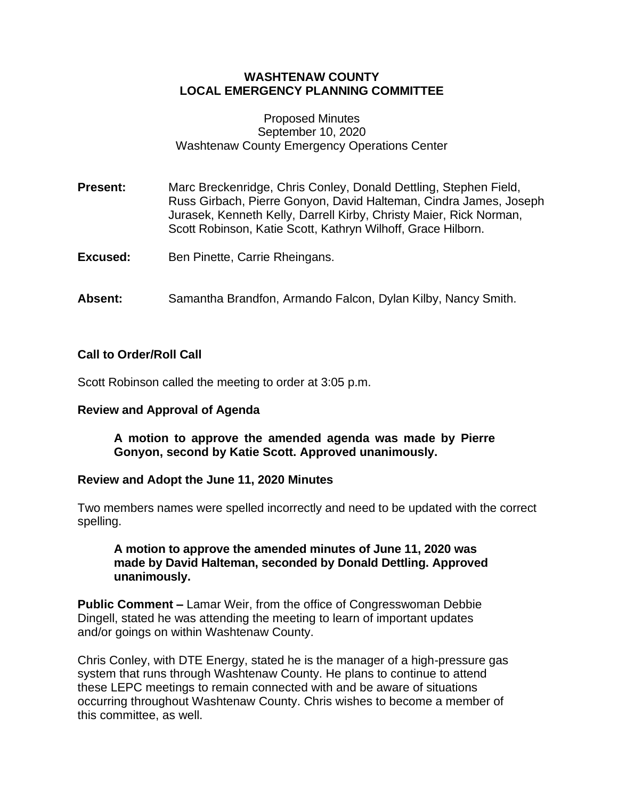# **WASHTENAW COUNTY LOCAL EMERGENCY PLANNING COMMITTEE**

#### Proposed Minutes September 10, 2020 Washtenaw County Emergency Operations Center

**Present:** Marc Breckenridge, Chris Conley, Donald Dettling, Stephen Field, Russ Girbach, Pierre Gonyon, David Halteman, Cindra James, Joseph Jurasek, Kenneth Kelly, Darrell Kirby, Christy Maier, Rick Norman, Scott Robinson, Katie Scott, Kathryn Wilhoff, Grace Hilborn.

**Excused:** Ben Pinette, Carrie Rheingans.

**Absent:** Samantha Brandfon, Armando Falcon, Dylan Kilby, Nancy Smith.

## **Call to Order/Roll Call**

Scott Robinson called the meeting to order at 3:05 p.m.

## **Review and Approval of Agenda**

**A motion to approve the amended agenda was made by Pierre Gonyon, second by Katie Scott. Approved unanimously.**

## **Review and Adopt the June 11, 2020 Minutes**

Two members names were spelled incorrectly and need to be updated with the correct spelling.

## **A motion to approve the amended minutes of June 11, 2020 was made by David Halteman, seconded by Donald Dettling. Approved unanimously.**

**Public Comment –** Lamar Weir, from the office of Congresswoman Debbie Dingell, stated he was attending the meeting to learn of important updates and/or goings on within Washtenaw County.

Chris Conley, with DTE Energy, stated he is the manager of a high-pressure gas system that runs through Washtenaw County. He plans to continue to attend these LEPC meetings to remain connected with and be aware of situations occurring throughout Washtenaw County. Chris wishes to become a member of this committee, as well.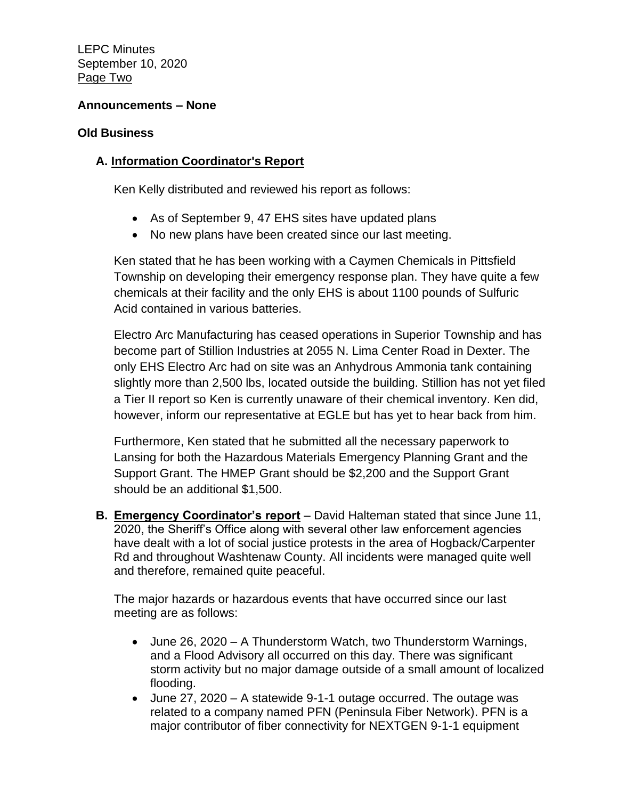LEPC Minutes September 10, 2020 Page Two

# **Announcements – None**

#### **Old Business**

# **A. Information Coordinator's Report**

Ken Kelly distributed and reviewed his report as follows:

- As of September 9, 47 EHS sites have updated plans
- No new plans have been created since our last meeting.

Ken stated that he has been working with a Caymen Chemicals in Pittsfield Township on developing their emergency response plan. They have quite a few chemicals at their facility and the only EHS is about 1100 pounds of Sulfuric Acid contained in various batteries.

Electro Arc Manufacturing has ceased operations in Superior Township and has become part of Stillion Industries at 2055 N. Lima Center Road in Dexter. The only EHS Electro Arc had on site was an Anhydrous Ammonia tank containing slightly more than 2,500 lbs, located outside the building. Stillion has not yet filed a Tier II report so Ken is currently unaware of their chemical inventory. Ken did, however, inform our representative at EGLE but has yet to hear back from him.

Furthermore, Ken stated that he submitted all the necessary paperwork to Lansing for both the Hazardous Materials Emergency Planning Grant and the Support Grant. The HMEP Grant should be \$2,200 and the Support Grant should be an additional \$1,500.

**B. Emergency Coordinator's report** – David Halteman stated that since June 11, 2020, the Sheriff's Office along with several other law enforcement agencies have dealt with a lot of social justice protests in the area of Hogback/Carpenter Rd and throughout Washtenaw County. All incidents were managed quite well and therefore, remained quite peaceful.

The major hazards or hazardous events that have occurred since our last meeting are as follows:

- June 26, 2020 A Thunderstorm Watch, two Thunderstorm Warnings, and a Flood Advisory all occurred on this day. There was significant storm activity but no major damage outside of a small amount of localized flooding.
- June 27, 2020 A statewide 9-1-1 outage occurred. The outage was related to a company named PFN (Peninsula Fiber Network). PFN is a major contributor of fiber connectivity for NEXTGEN 9-1-1 equipment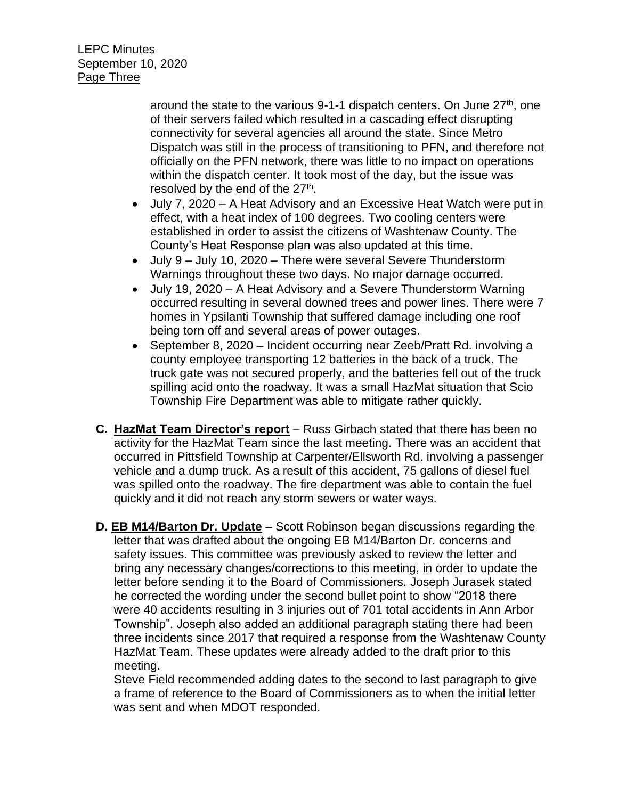around the state to the various 9-1-1 dispatch centers. On June  $27<sup>th</sup>$ , one of their servers failed which resulted in a cascading effect disrupting connectivity for several agencies all around the state. Since Metro Dispatch was still in the process of transitioning to PFN, and therefore not officially on the PFN network, there was little to no impact on operations within the dispatch center. It took most of the day, but the issue was resolved by the end of the 27<sup>th</sup>.

- July 7, 2020 A Heat Advisory and an Excessive Heat Watch were put in effect, with a heat index of 100 degrees. Two cooling centers were established in order to assist the citizens of Washtenaw County. The County's Heat Response plan was also updated at this time.
- July 9 July 10, 2020 There were several Severe Thunderstorm Warnings throughout these two days. No major damage occurred.
- July 19, 2020 A Heat Advisory and a Severe Thunderstorm Warning occurred resulting in several downed trees and power lines. There were 7 homes in Ypsilanti Township that suffered damage including one roof being torn off and several areas of power outages.
- September 8, 2020 Incident occurring near Zeeb/Pratt Rd. involving a county employee transporting 12 batteries in the back of a truck. The truck gate was not secured properly, and the batteries fell out of the truck spilling acid onto the roadway. It was a small HazMat situation that Scio Township Fire Department was able to mitigate rather quickly.
- **C. HazMat Team Director's report** Russ Girbach stated that there has been no activity for the HazMat Team since the last meeting. There was an accident that occurred in Pittsfield Township at Carpenter/Ellsworth Rd. involving a passenger vehicle and a dump truck. As a result of this accident, 75 gallons of diesel fuel was spilled onto the roadway. The fire department was able to contain the fuel quickly and it did not reach any storm sewers or water ways.
- **D. EB M14/Barton Dr. Update** Scott Robinson began discussions regarding the letter that was drafted about the ongoing EB M14/Barton Dr. concerns and safety issues. This committee was previously asked to review the letter and bring any necessary changes/corrections to this meeting, in order to update the letter before sending it to the Board of Commissioners. Joseph Jurasek stated he corrected the wording under the second bullet point to show "2018 there were 40 accidents resulting in 3 injuries out of 701 total accidents in Ann Arbor Township". Joseph also added an additional paragraph stating there had been three incidents since 2017 that required a response from the Washtenaw County HazMat Team. These updates were already added to the draft prior to this meeting.

Steve Field recommended adding dates to the second to last paragraph to give a frame of reference to the Board of Commissioners as to when the initial letter was sent and when MDOT responded.